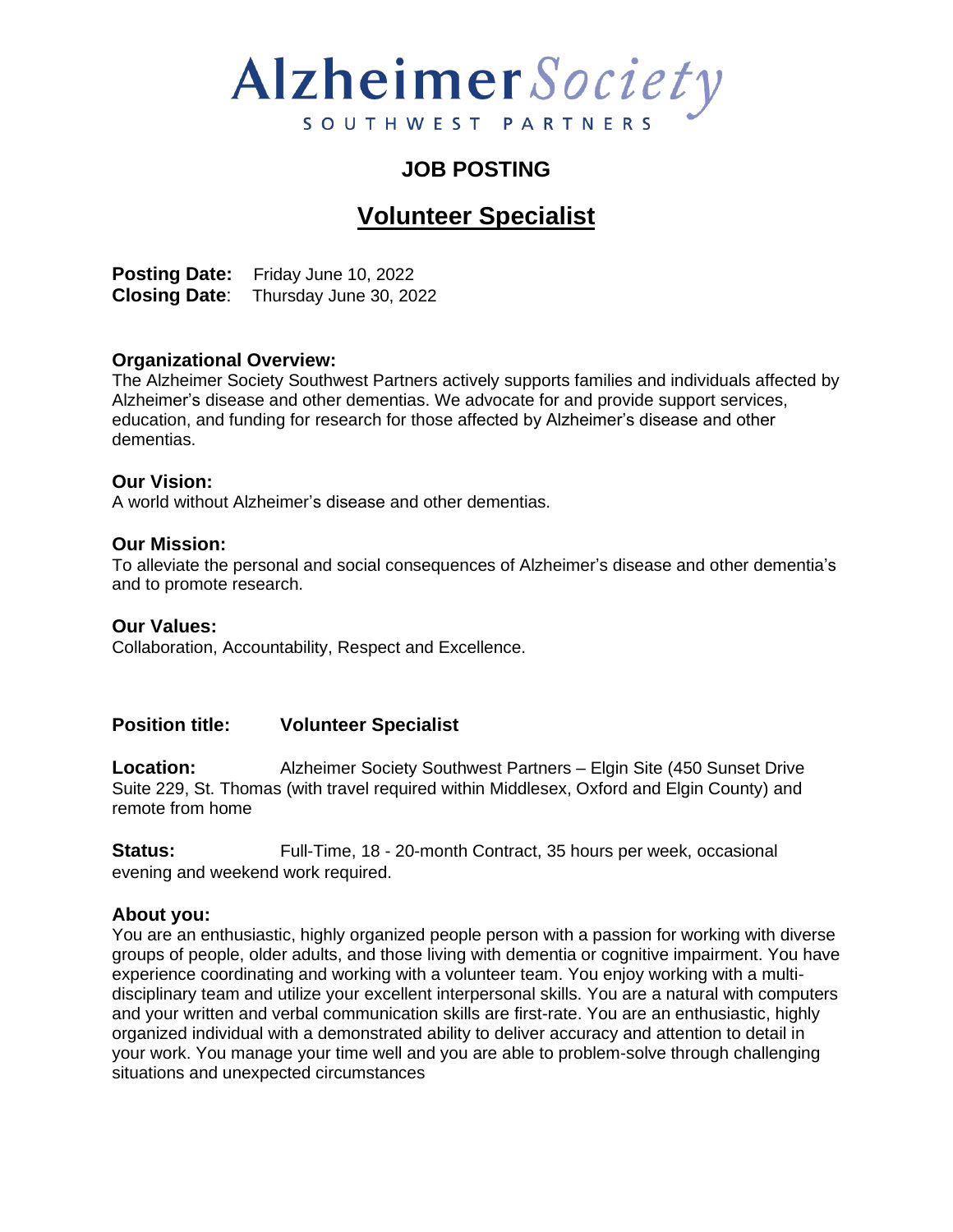# Alzheimer Society SOUTHWEST PARTNERS

### **JOB POSTING**

### **Volunteer Specialist**

**Posting Date:** Friday June 10, 2022 **Closing Date**: Thursday June 30, 2022

#### **Organizational Overview:**

The Alzheimer Society Southwest Partners actively supports families and individuals affected by Alzheimer's disease and other dementias. We advocate for and provide support services, education, and funding for research for those affected by Alzheimer's disease and other dementias.

#### **Our Vision:**

A world without Alzheimer's disease and other dementias.

#### **Our Mission:**

To alleviate the personal and social consequences of Alzheimer's disease and other dementia's and to promote research.

#### **Our Values:**

Collaboration, Accountability, Respect and Excellence.

#### **Position title: Volunteer Specialist**

**Location:** Alzheimer Society Southwest Partners – Elgin Site (450 Sunset Drive Suite 229, St. Thomas (with travel required within Middlesex, Oxford and Elgin County) and remote from home

**Status:** Full-Time, 18 - 20-month Contract, 35 hours per week, occasional evening and weekend work required.

#### **About you:**

You are an enthusiastic, highly organized people person with a passion for working with diverse groups of people, older adults, and those living with dementia or cognitive impairment. You have experience coordinating and working with a volunteer team. You enjoy working with a multidisciplinary team and utilize your excellent interpersonal skills. You are a natural with computers and your written and verbal communication skills are first-rate. You are an enthusiastic, highly organized individual with a demonstrated ability to deliver accuracy and attention to detail in your work. You manage your time well and you are able to problem-solve through challenging situations and unexpected circumstances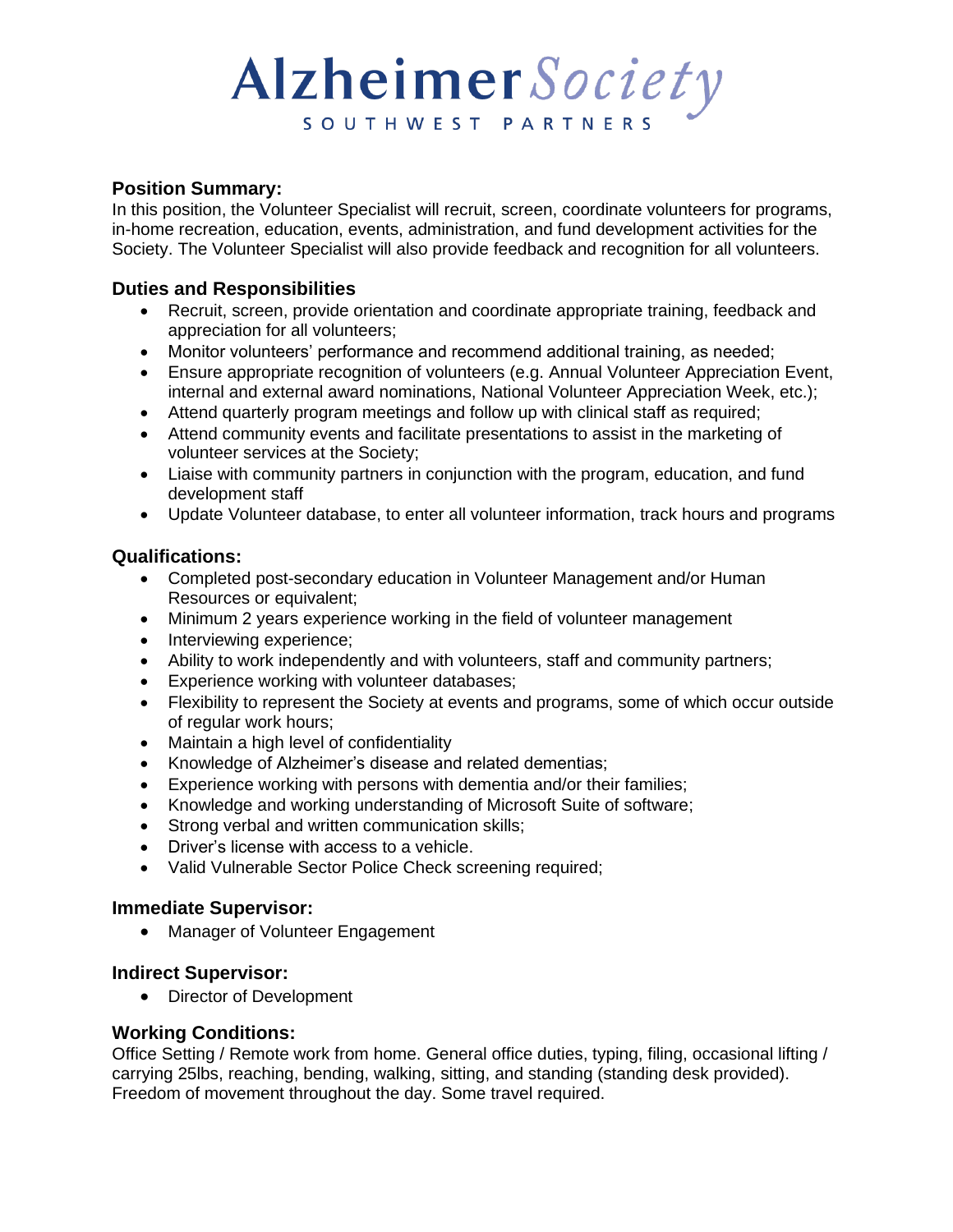# Alzheimer Society SOUTHWEST PARTNERS

#### **Position Summary:**

In this position, the Volunteer Specialist will recruit, screen, coordinate volunteers for programs, in-home recreation, education, events, administration, and fund development activities for the Society. The Volunteer Specialist will also provide feedback and recognition for all volunteers.

#### **Duties and Responsibilities**

- Recruit, screen, provide orientation and coordinate appropriate training, feedback and appreciation for all volunteers;
- Monitor volunteers' performance and recommend additional training, as needed;
- Ensure appropriate recognition of volunteers (e.g. Annual Volunteer Appreciation Event, internal and external award nominations, National Volunteer Appreciation Week, etc.);
- Attend quarterly program meetings and follow up with clinical staff as required;
- Attend community events and facilitate presentations to assist in the marketing of volunteer services at the Society;
- Liaise with community partners in conjunction with the program, education, and fund development staff
- Update Volunteer database, to enter all volunteer information, track hours and programs

#### **Qualifications:**

- Completed post-secondary education in Volunteer Management and/or Human Resources or equivalent;
- Minimum 2 years experience working in the field of volunteer management
- Interviewing experience;
- Ability to work independently and with volunteers, staff and community partners;
- Experience working with volunteer databases;
- Flexibility to represent the Society at events and programs, some of which occur outside of regular work hours;
- Maintain a high level of confidentiality
- Knowledge of Alzheimer's disease and related dementias;
- Experience working with persons with dementia and/or their families;
- Knowledge and working understanding of Microsoft Suite of software;
- Strong verbal and written communication skills;
- Driver's license with access to a vehicle.
- Valid Vulnerable Sector Police Check screening required;

#### **Immediate Supervisor:**

• Manager of Volunteer Engagement

#### **Indirect Supervisor:**

• Director of Development

#### **Working Conditions:**

Office Setting / Remote work from home. General office duties, typing, filing, occasional lifting / carrying 25lbs, reaching, bending, walking, sitting, and standing (standing desk provided). Freedom of movement throughout the day. Some travel required.